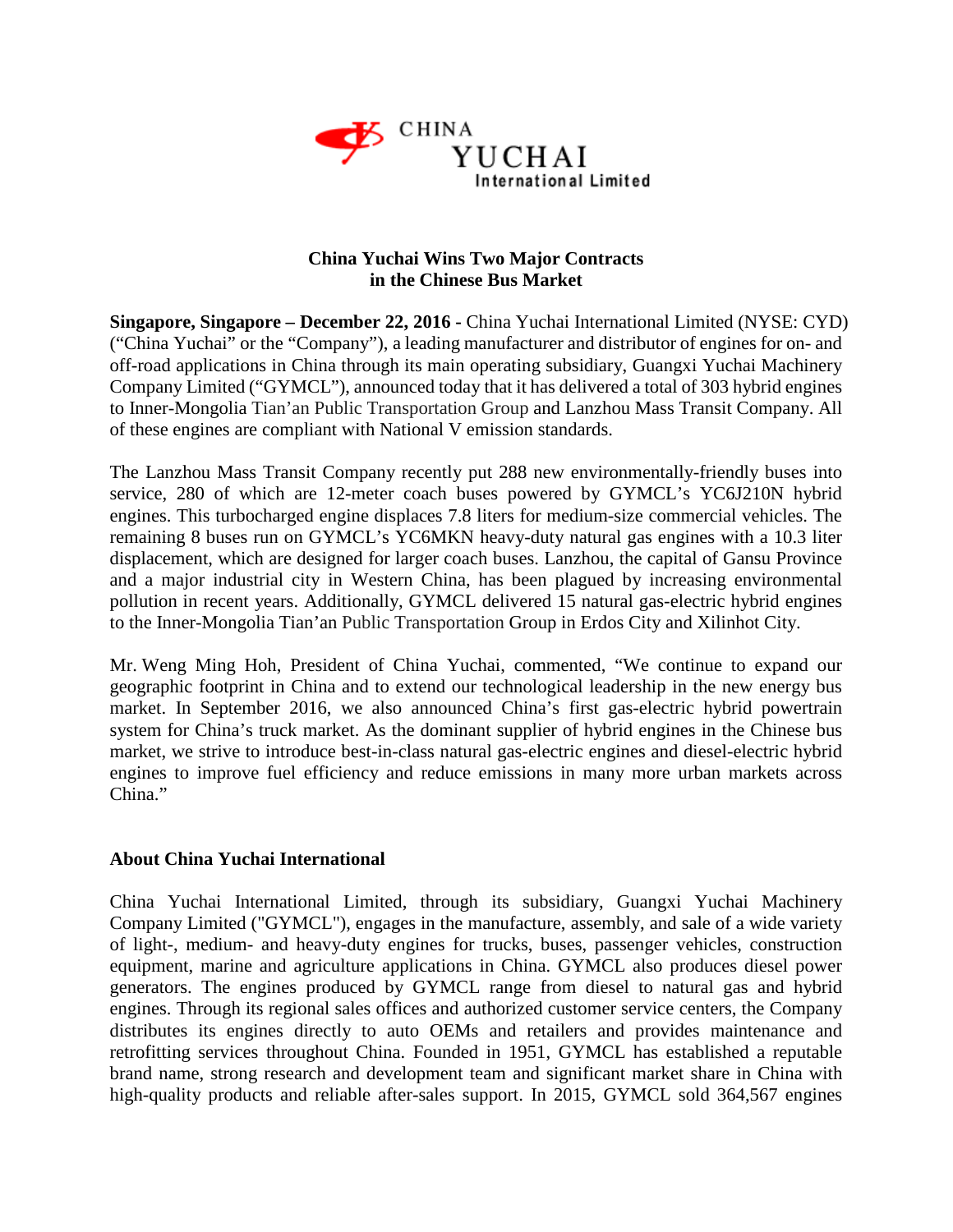

## **China Yuchai Wins Two Major Contracts in the Chinese Bus Market**

**Singapore, Singapore – December 22, 2016 -** China Yuchai International Limited (NYSE: CYD) ("China Yuchai" or the "Company"), a leading manufacturer and distributor of engines for on- and off-road applications in China through its main operating subsidiary, Guangxi Yuchai Machinery Company Limited ("GYMCL"), announced today that it has delivered a total of 303 hybrid engines to Inner-Mongolia Tian'an Public Transportation Group and Lanzhou Mass Transit Company. All of these engines are compliant with National V emission standards.

The Lanzhou Mass Transit Company recently put 288 new environmentally-friendly buses into service, 280 of which are 12-meter coach buses powered by GYMCL's YC6J210N hybrid engines. This turbocharged engine displaces 7.8 liters for medium-size commercial vehicles. The remaining 8 buses run on GYMCL's YC6MKN heavy-duty natural gas engines with a 10.3 liter displacement, which are designed for larger coach buses. Lanzhou, the capital of Gansu Province and a major industrial city in Western China, has been plagued by increasing environmental pollution in recent years. Additionally, GYMCL delivered 15 natural gas-electric hybrid engines to the Inner-Mongolia Tian'an Public Transportation Group in Erdos City and Xilinhot City.

Mr. Weng Ming Hoh, President of China Yuchai, commented, "We continue to expand our geographic footprint in China and to extend our technological leadership in the new energy bus market. In September 2016, we also announced China's first gas-electric hybrid powertrain system for China's truck market. As the dominant supplier of hybrid engines in the Chinese bus market, we strive to introduce best-in-class natural gas-electric engines and diesel-electric hybrid engines to improve fuel efficiency and reduce emissions in many more urban markets across China."

## **About China Yuchai International**

China Yuchai International Limited, through its subsidiary, Guangxi Yuchai Machinery Company Limited ("GYMCL"), engages in the manufacture, assembly, and sale of a wide variety of light-, medium- and heavy-duty engines for trucks, buses, passenger vehicles, construction equipment, marine and agriculture applications in China. GYMCL also produces diesel power generators. The engines produced by GYMCL range from diesel to natural gas and hybrid engines. Through its regional sales offices and authorized customer service centers, the Company distributes its engines directly to auto OEMs and retailers and provides maintenance and retrofitting services throughout China. Founded in 1951, GYMCL has established a reputable brand name, strong research and development team and significant market share in China with high-quality products and reliable after-sales support. In 2015, GYMCL sold 364,567 engines